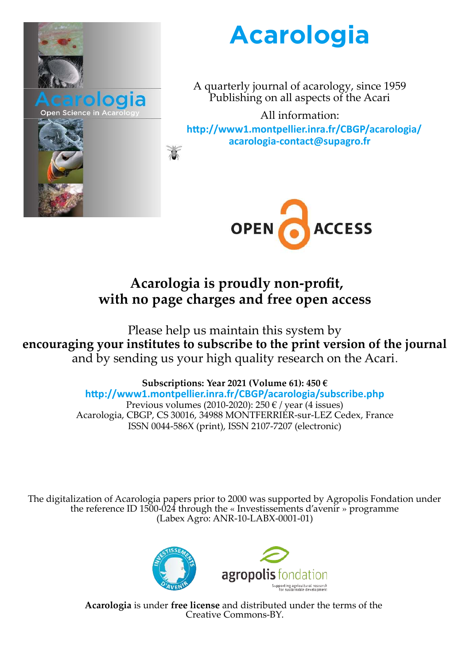

# **Acarologia**

A quarterly journal of acarology, since 1959 Publishing on all aspects of the Acari

All information: **http://www1.montpellier.inra.fr/CBGP/acarologia/ acarologia-contact@supagro.fr**



## **Acarologia is proudly non-profit, with no page charges and free open access**

Please help us maintain this system by **encouraging your institutes to subscribe to the print version of the journal** and by sending us your high quality research on the Acari.

> **Subscriptions: Year 2021 (Volume 61): 450 € http://www1.montpellier.inra.fr/CBGP/acarologia/subscribe.php** Previous volumes (2010-2020): 250  $\epsilon$  / year (4 issues) Acarologia, CBGP, CS 30016, 34988 MONTFERRIER-sur-LEZ Cedex, France ISSN 0044-586X (print), ISSN 2107-7207 (electronic)

The digitalization of Acarologia papers prior to 2000 was supported by Agropolis Fondation under the reference ID 1500-024 through the « Investissements d'avenir » programme (Labex Agro: ANR-10-LABX-0001-01)



**Acarologia** is under **free license** and distributed under the terms of the Creative Commons-BY.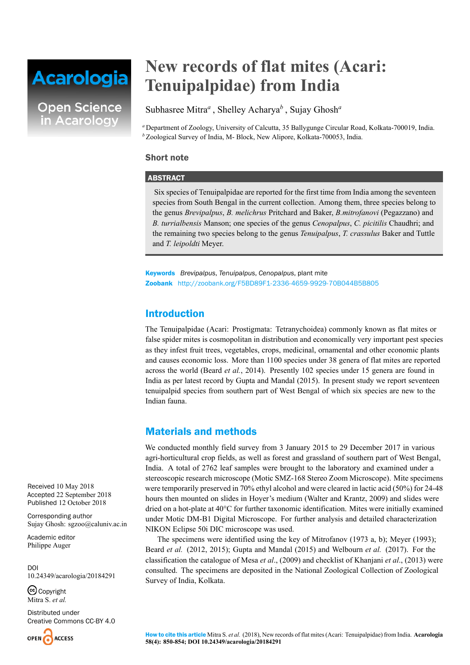# **Acarologia**

**Open Science** in Acarology

## **New records of flat mites (Acari: Tenuipalpidae) from India**

Subhasree Mitra*<sup>a</sup>* , Shelley Acharya*<sup>b</sup>* , Sujay Ghosh*<sup>a</sup>*

*<sup>a</sup>* Department of Zoology, University of Calcutta, 35 Ballygunge Circular Road, Kolkata-700019, India. *<sup>b</sup>* Zoological Survey of India, M- Block, New Alipore, Kolkata-700053, India.

### Short note

### ABSTRACT

Six species of Tenuipalpidae are reported for the first time from India among the seventeen species from South Bengal in the current collection. Among them, three species belong to the genus *Brevipalpus*, *B. melichrus* Pritchard and Baker, *B.mitrofanovi* (Pegazzano) and *B. turrialbensis* Manson; one species of the genus *Cenopalpus*, *C. picitilis* Chaudhri; and the remaining two species belong to the genus *Tenuipalpus*, *T. crassulus* Baker and Tuttle and *T. leipoldti* Meyer.

Keywords *Brevipalpus*, *Tenuipalpus*, *Cenopalpus*, plant mite Zoobank http://zoobank.org/F5BD89F1-2336-4659-9929-70B044B5B805

## Introduction

The Tenuipalpidae (Acari: Prostigmata: Tetranychoidea) commonly known as flat mites or false spider mites is cosmopolitan in distribution and economically very important pest species as they infest fruit trees, vegetables, crops, medicinal, ornamental and other economic plants and causes economic loss. More than 1100 species under 38 genera of flat mites are reported across the world (Beard *et al.*, 2014). Presently 102 species under 15 genera are found in India as per latest record by Gupta and Mandal (2015). In present study we report seventeen tenuipalpid species from southern part of West Bengal of which six species are new to the Indian fauna.

## Materials and methods

We conducted monthly field survey from 3 January 2015 to 29 December 2017 in various agri-horticultural crop fields, as well as forest and grassland of southern part of West Bengal, India. A total of 2762 leaf samples were brought to the laboratory and examined under a stereoscopic research microscope (Motic SMZ-168 Stereo Zoom Microscope). Mite specimens were temporarily preserved in 70% ethyl alcohol and were cleared in lactic acid (50%) for 24-48 hours then mounted on slides in Hoyer's medium (Walter and Krantz, 2009) and slides were dried on a hot-plate at 40°C for further taxonomic identification. Mites were initially examined under Motic DM-B1 Digital Microscope. For further analysis and detailed characterization NIKON Eclipse 50i DIC microscope was used.

The specimens were identified using the key of Mitrofanov (1973 a, b); Meyer (1993); Beard *et al.* (2012, 2015); Gupta and Mandal (2015) and Welbourn *et al.* (2017). For the classification the catalogue of Mesa *et al*., (2009) and checklist of Khanjani *et al*., (2013) were consulted. The specimens are deposited in the National Zoological Collection of Zoological Survey of India, Kolkata.

Received 10 May 2018 Accepted 22 September 2018 Published 12 October 2018

Corresponding author Sujay Ghosh: sgzoo@caluniv.ac.in

Academic editor Philippe Auger

DOI 10.24349/acarologia/20184291

C<sub>opyright</sub> Mitra S. *et al.*

Distributed under Creative Commons CC-BY 4.0

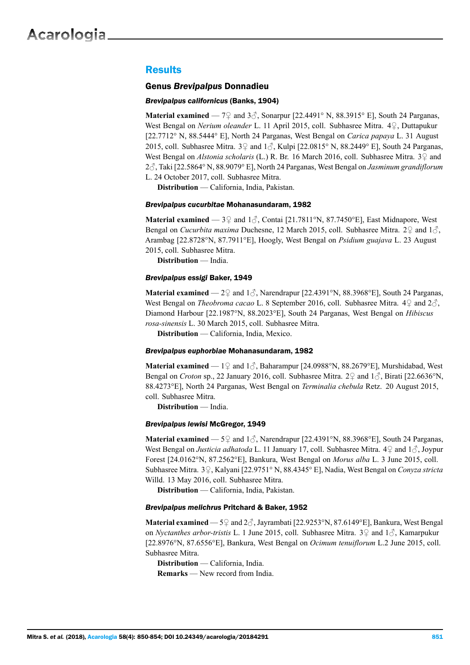## **Results**

#### Genus *Brevipalpus* Donnadieu

#### *Brevipalpus californicus* (Banks, 1904)

**Material examined** —  $7\frac{}{}{}$  and  $3\frac{}{}{}$ , Sonarpur [22.4491° N, 88.3915° E], South 24 Parganas, West Bengal on *Nerium oleander* L. 11 April 2015, coll. Subhasree Mitra. 4♀, Duttapukur [22.7712° N, 88.5444° E], North 24 Parganas, West Bengal on *Carica papaya* L. 31 August 2015, coll. Subhasree Mitra.  $3\sqrt{2}$  and  $1\sqrt{2}$ , Kulpi [22.0815° N, 88.2449° E], South 24 Parganas, West Bengal on *Alstonia scholaris* (L.) R. Br. 16 March 2016, coll. Subhasree Mitra. 3♀ and 2♂, Taki [22.5864° N, 88.9079° E], North 24 Parganas, West Bengal on *Jasminum grandiflorum* L. 24 October 2017, coll. Subhasree Mitra.

**Distribution** — California, India, Pakistan.

#### *Brevipalpus cucurbitae* Mohanasundaram, 1982

**Material examined** —  $3\sqrt{2}$  and  $1\sqrt{2}$ , Contai [21.7811°N, 87.7450°E], East Midnapore, West Bengal on *Cucurbita maxima* Duchesne, 12 March 2015, coll. Subhasree Mitra. 2♀ and 1♂, Arambag [22.8728°N, 87.7911°E], Hoogly, West Bengal on *Psidium guajava* L. 23 August 2015, coll. Subhasree Mitra.

**Distribution** — India.

#### *Brevipalpus essigi* Baker, 1949

**Material examined** —  $2\sqrt{2}$  and  $1\sqrt{3}$ , Narendrapur [22.4391°N, 88.3968°E], South 24 Parganas, West Bengal on *Theobroma cacao* L. 8 September 2016, coll. Subhasree Mitra. 4♀ and 2♂, Diamond Harbour [22.1987°N, 88.2023°E], South 24 Parganas, West Bengal on *Hibiscus rosa-sinensis* L. 30 March 2015, coll. Subhasree Mitra.

**Distribution** — California, India, Mexico.

#### *Brevipalpus euphorbiae* Mohanasundaram, 1982

**Material examined** — 1♀ and 1♂, Baharampur [24.0988°N, 88.2679°E], Murshidabad, West Bengal on *Croton* sp., 22 January 2016, coll. Subhasree Mitra. 2♀ and 1♂, Birati [22.6636°N, 88.4273°E], North 24 Parganas, West Bengal on *Terminalia chebula* Retz. 20 August 2015, coll. Subhasree Mitra.

**Distribution** — India.

#### *Brevipalpus lewisi* McGregor, 1949

**Material examined** — 5♀ and 1 §, Narendrapur [22.4391°N, 88.3968°E], South 24 Parganas, West Bengal on *Justicia adhatoda* L. 11 January 17, coll. Subhasree Mitra. 4♀ and 1♂, Joypur Forest [24.0162°N, 87.2562°E], Bankura, West Bengal on *Morus alba* L. 3 June 2015, coll. Subhasree Mitra. 3♀, Kalyani [22.9751° N, 88.4345° E], Nadia, West Bengal on *Conyza stricta* Willd. 13 May 2016, coll. Subhasree Mitra.

**Distribution** — California, India, Pakistan.

#### *Brevipalpus melichrus* Pritchard & Baker, 1952

**Material examined** — 5♀ and 2♂, Jayrambati [22.9253°N, 87.6149°E], Bankura, West Bengal on *Nyctanthes arbor-tristis* L. 1 June 2015, coll. Subhasree Mitra. 3♀ and 1♂, Kamarpukur [22.8976°N, 87.6556°E], Bankura, West Bengal on *Ocimum tenuiflorum* L.2 June 2015, coll. Subhasree Mitra.

**Distribution** — California, India.

**Remarks** — New record from India.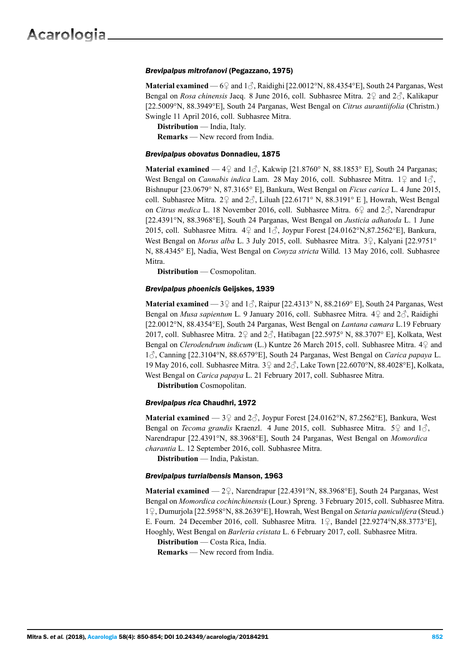#### *Brevipalpus mitrofanovi* (Pegazzano, 1975)

**Material examined** —  $6\frac{1}{2}$  and  $1\frac{3}{2}$ , Raidighi [22.0012°N, 88.4354°E], South 24 Parganas, West Bengal on *Rosa chinensis* Jacq. 8 June 2016, coll. Subhasree Mitra. 2♀ and 2♂, Kalikapur [22.5009°N, 88.3949°E], South 24 Parganas, West Bengal on *Citrus aurantiifolia* (Christm.) Swingle 11 April 2016, coll. Subhasree Mitra.

**Distribution** — India, Italy. **Remarks** — New record from India.

#### *Brevipalpus obovatus* Donnadieu, 1875

**Material examined** —  $4\frac{9}{4}$  and  $1\frac{3}{4}$ , Kakwip [21.8760° N, 88.1853° E], South 24 Parganas; West Bengal on *Cannabis indica* Lam. 28 May 2016, coll. Subhasree Mitra. 1♀ and 1♂, Bishnupur [23.0679° N, 87.3165° E], Bankura, West Bengal on *Ficus carica* L. 4 June 2015, coll. Subhasree Mitra. 2º and  $2\textdegree$ , Liluah [22.6171° N, 88.3191° E ], Howrah, West Bengal on *Citrus medica* L. 18 November 2016, coll. Subhasree Mitra. 6♀ and 2♂, Narendrapur [22.4391°N, 88.3968°E], South 24 Parganas, West Bengal on *Justicia adhatoda* L. 1 June 2015, coll. Subhasree Mitra.  $4\Omega$  and  $1\partial$ , Joypur Forest [24.0162°N,87.2562°E], Bankura, West Bengal on *Morus alba* L. 3 July 2015, coll. Subhasree Mitra. 3♀, Kalyani [22.9751° N, 88.4345° E], Nadia, West Bengal on *Conyza stricta* Willd. 13 May 2016, coll. Subhasree Mitra.

**Distribution** — Cosmopolitan.

#### *Brevipalpus phoenicis* Geijskes, 1939

**Material examined** —  $3\sqrt{2}$  and  $1\sqrt{2}$ , Raipur [22.4313° N, 88.2169° E], South 24 Parganas, West Bengal on *Musa sapientum* L*.* 9 January 2016, coll. Subhasree Mitra. 4♀ and 2♂, Raidighi [22.0012°N, 88.4354°E], South 24 Parganas, West Bengal on *Lantana camara* L.19 February 2017, coll. Subhasree Mitra. 2 $\varphi$  and  $2\vartheta$ , Hatibagan [22.5975° N, 88.3707° E], Kolkata, West Bengal on *Clerodendrum indicum* (L.) Kuntze 26 March 2015, coll. Subhasree Mitra. 4♀ and 1♂, Canning [22.3104°N, 88.6579°E], South 24 Parganas, West Bengal on *Carica papaya* L. 19 May 2016, coll. Subhasree Mitra.  $3\sqrt{2}$  and  $2\sqrt{2}$ , Lake Town [22.6070°N, 88.4028°E], Kolkata, West Bengal on *Carica papaya* L. 21 February 2017, coll. Subhasree Mitra.

**Distribution** Cosmopolitan.

#### *Brevipalpus rica* Chaudhri, 1972

**Material examined** —  $3\frac{6}{7}$  and  $2\frac{7}{10}$ , Joypur Forest [24.0162°N, 87.2562°E], Bankura, West Bengal on *Tecoma grandis* Kraenzl. 4 June 2015, coll. Subhasree Mitra. 5♀ and 1♂, Narendrapur [22.4391°N, 88.3968°E], South 24 Parganas, West Bengal on *Momordica charantia* L. 12 September 2016, coll. Subhasree Mitra.

**Distribution** — India, Pakistan.

#### *Brevipalpus turrialbensis* Manson, 1963

**Material examined** — 2♀, Narendrapur [22.4391°N, 88.3968°E], South 24 Parganas, West Bengal on *Momordica cochinchinensis* (Lour.) Spreng. 3 February 2015, coll. Subhasree Mitra. 1♀, Dumurjola [22.5958°N, 88.2639°E], Howrah, West Bengal on *Setaria paniculifera* (Steud.) E. Fourn. 24 December 2016, coll. Subhasree Mitra. 1♀, Bandel [22.9274°N,88.3773°E], Hooghly, West Bengal on *Barleria cristata* L. 6 February 2017, coll. Subhasree Mitra.

**Distribution** — Costa Rica, India.

**Remarks** — New record from India.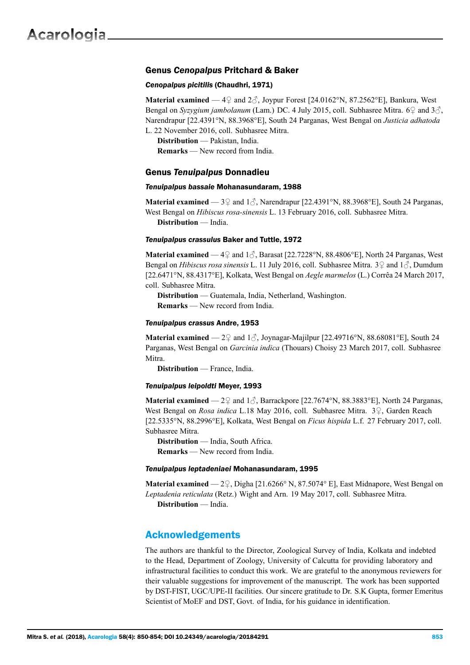#### Genus *Cenopalpus* Pritchard & Baker

#### *Cenopalpus picitilis* (Chaudhri, 1971)

**Material examined** —  $4\frac{1}{2}$  and  $2\frac{3}{2}$ , Joypur Forest [24.0162°N, 87.2562°E], Bankura, West Bengal on *Syzygium jambolanum* (Lam.) DC. 4 July 2015, coll. Subhasree Mitra. 6 $\varphi$  and 3 $\varphi$ , Narendrapur [22.4391°N, 88.3968°E], South 24 Parganas, West Bengal on *Justicia adhatoda* L. 22 November 2016, coll. Subhasree Mitra.

**Distribution** — Pakistan, India.

**Remarks** — New record from India.

#### Genus *Tenuipalpus* Donnadieu

#### *Tenuipalpus bassaie* Mohanasundaram, 1988

**Material examined** —  $3\sqrt{2}$  and  $1\sqrt{3}$ , Narendrapur [22.4391°N, 88.3968°E], South 24 Parganas, West Bengal on *Hibiscus rosa-sinensis* L. 13 February 2016, coll. Subhasree Mitra. **Distribution** — India.

#### *Tenuipalpus crassulus* Baker and Tuttle, 1972

**Material examined** —  $4\degree$  and  $1\degree$ , Barasat [22.7228°N, 88.4806°E], North 24 Parganas, West Bengal on *Hibiscus rosa sinensis* L. 11 July 2016, coll. Subhasree Mitra. 3♀ and 1♂, Dumdum [22.6471°N, 88.4317°E], Kolkata, West Bengal on *Aegle marmelos* (L.) Corrêa 24 March 2017, coll. Subhasree Mitra.

**Distribution** — Guatemala, India, Netherland, Washington. **Remarks** — New record from India.

#### *Tenuipalpus crassus* Andre, 1953

**Material examined** —  $2\frac{9}{5}$  and  $1\frac{3}{5}$ , Joynagar-Majilpur [22.49716°N, 88.68081°E], South 24 Parganas, West Bengal on *Garcinia indica* (Thouars) Choisy 23 March 2017, coll. Subhasree Mitra.

**Distribution** — France, India.

#### *Tenuipalpus leipoldti* Meyer, 1993

**Material examined** —  $2\frac{9}{7}$  and  $1\frac{7}{10}$ , Barrackpore [22.7674°N, 88.3883°E], North 24 Parganas, West Bengal on *Rosa indica* L.18 May 2016, coll. Subhasree Mitra. 3♀, Garden Reach [22.5335°N, 88.2996°E], Kolkata, West Bengal on *Ficus hispida* L.f. 27 February 2017, coll. Subhasree Mitra.

**Distribution** — India, South Africa. **Remarks** — New record from India.

#### *Tenuipalpus leptadeniaei* Mohanasundaram, 1995

**Material examined** — 2♀, Digha [21.6266° N, 87.5074° E], East Midnapore, West Bengal on *Leptadenia reticulata* (Retz.) Wight and Arn. 19 May 2017, coll. Subhasree Mitra. **Distribution** — India.

## Acknowledgements

The authors are thankful to the Director, Zoological Survey of India, Kolkata and indebted to the Head, Department of Zoology, University of Calcutta for providing laboratory and infrastructural facilities to conduct this work. We are grateful to the anonymous reviewers for their valuable suggestions for improvement of the manuscript. The work has been supported by DST-FIST, UGC/UPE-II facilities. Our sincere gratitude to Dr. S.K Gupta, former Emeritus Scientist of MoEF and DST, Govt. of India, for his guidance in identification.